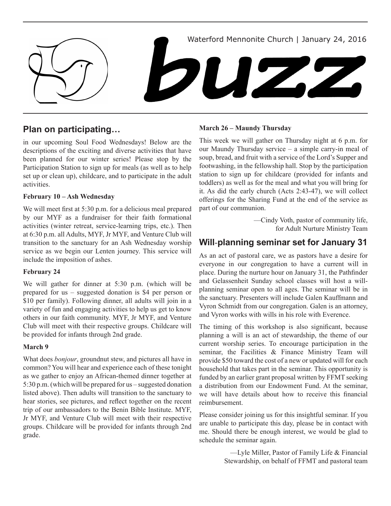

### **Plan on participating…**

in our upcoming Soul Food Wednesdays! Below are the descriptions of the exciting and diverse activities that have been planned for our winter series! Please stop by the Participation Station to sign up for meals (as well as to help set up or clean up), childcare, and to participate in the adult activities.

### **February 10 – Ash Wednesday**

We will meet first at 5:30 p.m. for a delicious meal prepared by our MYF as a fundraiser for their faith formational activities (winter retreat, service-learning trips, etc.). Then at 6:30 p.m. all Adults, MYF, Jr MYF, and Venture Club will transition to the sanctuary for an Ash Wednesday worship service as we begin our Lenten journey. This service will include the imposition of ashes.

### **February 24**

We will gather for dinner at 5:30 p.m. (which will be prepared for us – suggested donation is \$4 per person or \$10 per family). Following dinner, all adults will join in a variety of fun and engaging activities to help us get to know others in our faith community. MYF, Jr MYF, and Venture Club will meet with their respective groups. Childcare will be provided for infants through 2nd grade.

### **March 9**

What does *bonjour*, groundnut stew, and pictures all have in common? You will hear and experience each of these tonight as we gather to enjoy an African-themed dinner together at 5:30 p.m. (which will be prepared for us – suggested donation listed above). Then adults will transition to the sanctuary to hear stories, see pictures, and reflect together on the recent trip of our ambassadors to the Benin Bible Institute. MYF, Jr MYF, and Venture Club will meet with their respective groups. Childcare will be provided for infants through 2nd grade.

#### **March 26 – Maundy Thursday**

This week we will gather on Thursday night at 6 p.m. for our Maundy Thursday service – a simple carry-in meal of soup, bread, and fruit with a service of the Lord's Supper and footwashing, in the fellowship hall. Stop by the participation station to sign up for childcare (provided for infants and toddlers) as well as for the meal and what you will bring for it. As did the early church (Acts 2:43-47), we will collect offerings for the Sharing Fund at the end of the service as part of our communion.

> —Cindy Voth, pastor of community life, for Adult Nurture Ministry Team

## **Will**-**planning seminar set for January 31**

As an act of pastoral care, we as pastors have a desire for everyone in our congregation to have a current will in place. During the nurture hour on January 31, the Pathfinder and Gelassenheit Sunday school classes will host a willplanning seminar open to all ages. The seminar will be in the sanctuary. Presenters will include Galen Kauffmann and Vyron Schmidt from our congregation. Galen is an attorney, and Vyron works with wills in his role with Everence.

The timing of this workshop is also significant, because planning a will is an act of stewardship, the theme of our current worship series. To encourage participation in the seminar, the Facilities & Finance Ministry Team will provide \$50 toward the cost of a new or updated will for each household that takes part in the seminar. This opportunity is funded by an earlier grant proposal written by FFMT seeking a distribution from our Endowment Fund. At the seminar, we will have details about how to receive this financial reimbursement.

Please consider joining us for this insightful seminar. If you are unable to participate this day, please be in contact with me. Should there be enough interest, we would be glad to schedule the seminar again.

> —Lyle Miller, Pastor of Family Life & Financial Stewardship, on behalf of FFMT and pastoral team